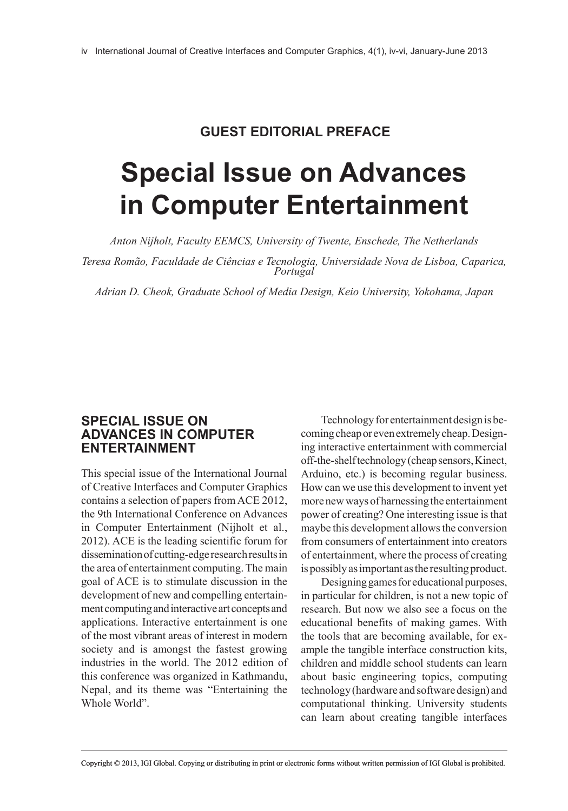## **GUEST EDITORIAL PREfACE**

# **Special Issue on Advances in Computer Entertainment**

*Anton Nijholt, Faculty EEMCS, University of Twente, Enschede, The Netherlands*

*Teresa Romão, Faculdade de Ciências e Tecnologia, Universidade Nova de Lisboa, Caparica, Portugal*

*Adrian D. Cheok, Graduate School of Media Design, Keio University, Yokohama, Japan*

#### **SPECIAL ISSUE ON ADVANCES IN COMPUTER ENTERTAINMENT**

This special issue of the International Journal of Creative Interfaces and Computer Graphics contains a selection of papers from ACE 2012, the 9th International Conference on Advances in Computer Entertainment (Nijholt et al., 2012). ACE is the leading scientific forum for dissemination of cutting-edge research results in the area of entertainment computing. The main goal of ACE is to stimulate discussion in the development of new and compelling entertainment computing and interactive art concepts and applications. Interactive entertainment is one of the most vibrant areas of interest in modern society and is amongst the fastest growing industries in the world. The 2012 edition of this conference was organized in Kathmandu, Nepal, and its theme was "Entertaining the Whole World".

Technology for entertainment design is becoming cheap or even extremely cheap. Designing interactive entertainment with commercial off-the-shelf technology (cheap sensors, Kinect, Arduino, etc.) is becoming regular business. How can we use this development to invent yet more new ways of harnessing the entertainment power of creating? One interesting issue is that maybe this development allows the conversion from consumers of entertainment into creators of entertainment, where the process of creating is possibly as important as the resulting product.

Designing games for educational purposes, in particular for children, is not a new topic of research. But now we also see a focus on the educational benefits of making games. With the tools that are becoming available, for example the tangible interface construction kits, children and middle school students can learn about basic engineering topics, computing technology (hardware and software design) and computational thinking. University students can learn about creating tangible interfaces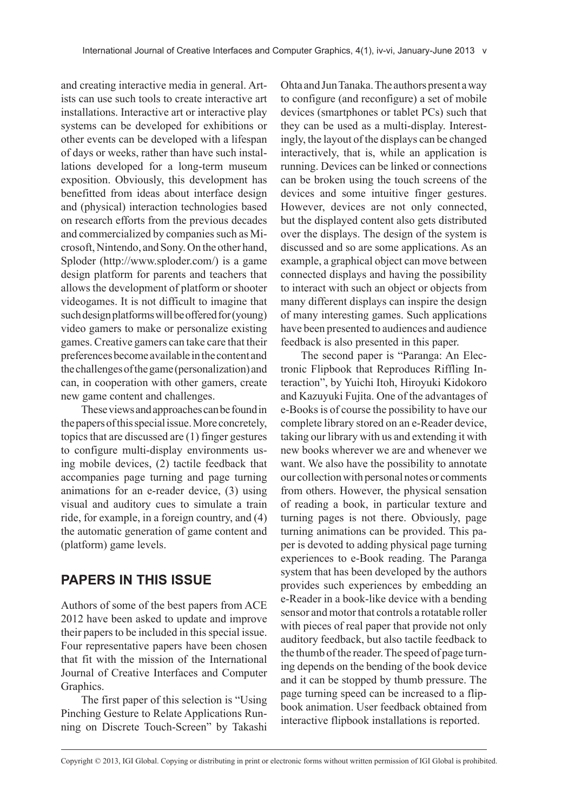and creating interactive media in general. Artists can use such tools to create interactive art installations. Interactive art or interactive play systems can be developed for exhibitions or other events can be developed with a lifespan of days or weeks, rather than have such installations developed for a long-term museum exposition. Obviously, this development has benefitted from ideas about interface design and (physical) interaction technologies based on research efforts from the previous decades and commercialized by companies such as Microsoft, Nintendo, and Sony. On the other hand, Sploder (http://www.sploder.com/) is a game design platform for parents and teachers that allows the development of platform or shooter videogames. It is not difficult to imagine that such design platforms will be offered for (young) video gamers to make or personalize existing games. Creative gamers can take care that their preferences become available in the content and the challenges of the game (personalization) and can, in cooperation with other gamers, create new game content and challenges.

These views and approaches can be found in the papers of this special issue. More concretely, topics that are discussed are (1) finger gestures to configure multi-display environments using mobile devices, (2) tactile feedback that accompanies page turning and page turning animations for an e-reader device, (3) using visual and auditory cues to simulate a train ride, for example, in a foreign country, and (4) the automatic generation of game content and (platform) game levels.

## **PAPERS IN THIS ISSUE**

Authors of some of the best papers from ACE 2012 have been asked to update and improve their papers to be included in this special issue. Four representative papers have been chosen that fit with the mission of the International Journal of Creative Interfaces and Computer Graphics.

The first paper of this selection is "Using Pinching Gesture to Relate Applications Running on Discrete Touch-Screen" by Takashi

Ohta and Jun Tanaka. The authors present a way to configure (and reconfigure) a set of mobile devices (smartphones or tablet PCs) such that they can be used as a multi-display. Interestingly, the layout of the displays can be changed interactively, that is, while an application is running. Devices can be linked or connections can be broken using the touch screens of the devices and some intuitive finger gestures. However, devices are not only connected, but the displayed content also gets distributed over the displays. The design of the system is discussed and so are some applications. As an example, a graphical object can move between connected displays and having the possibility to interact with such an object or objects from many different displays can inspire the design of many interesting games. Such applications have been presented to audiences and audience feedback is also presented in this paper.

The second paper is "Paranga: An Electronic Flipbook that Reproduces Riffling Interaction", by Yuichi Itoh, Hiroyuki Kidokoro and Kazuyuki Fujita. One of the advantages of e-Books is of course the possibility to have our complete library stored on an e-Reader device, taking our library with us and extending it with new books wherever we are and whenever we want. We also have the possibility to annotate our collection with personal notes or comments from others. However, the physical sensation of reading a book, in particular texture and turning pages is not there. Obviously, page turning animations can be provided. This paper is devoted to adding physical page turning experiences to e-Book reading. The Paranga system that has been developed by the authors provides such experiences by embedding an e-Reader in a book-like device with a bending sensor and motor that controls a rotatable roller with pieces of real paper that provide not only auditory feedback, but also tactile feedback to the thumb of the reader. The speed of page turning depends on the bending of the book device and it can be stopped by thumb pressure. The page turning speed can be increased to a flipbook animation. User feedback obtained from interactive flipbook installations is reported.

Copyright © 2013, IGI Global. Copying or distributing in print or electronic forms without written permission of IGI Global is prohibited.